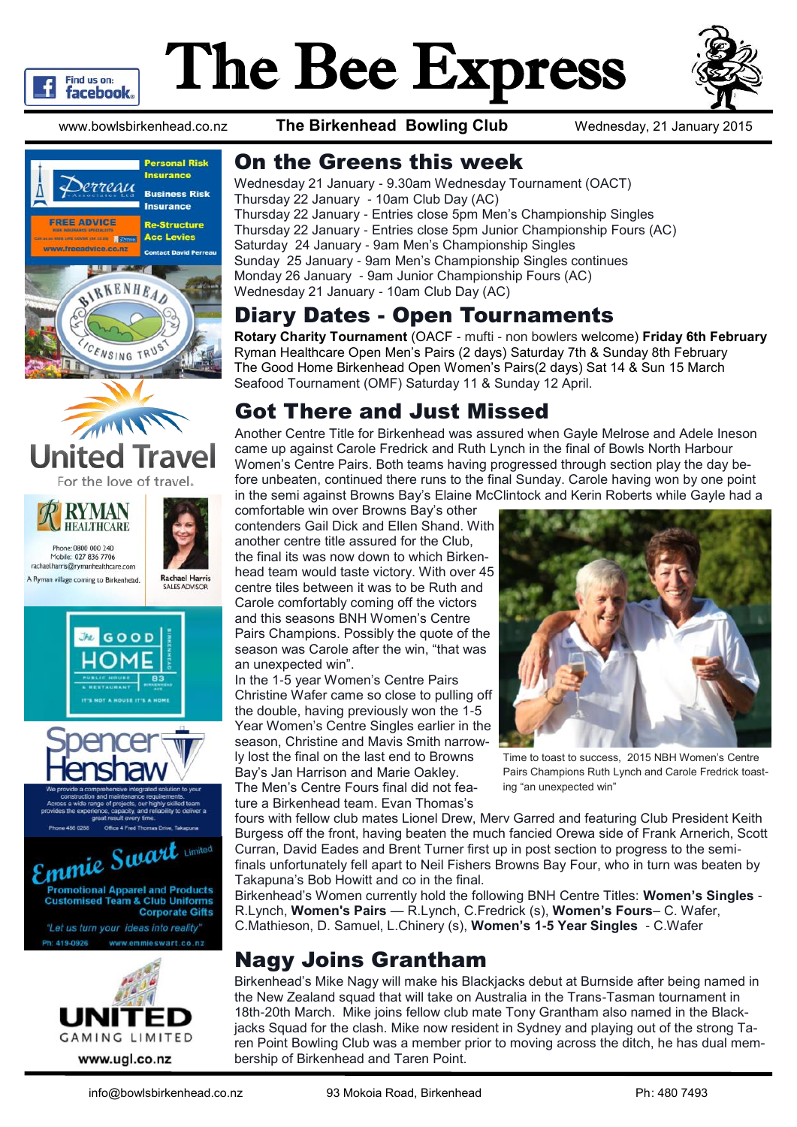

# The Bee Express



www.bowlsbirkenhead.co.nz **The Birkenhead Bowling Club** Wednesday, 21 January 2015

















#### On the Greens this week

Wednesday 21 January - 9.30am Wednesday Tournament (OACT) Thursday 22 January - 10am Club Day (AC) Thursday 22 January - Entries close 5pm Men's Championship Singles Thursday 22 January - Entries close 5pm Junior Championship Fours (AC) Saturday 24 January - 9am Men's Championship Singles Sunday 25 January - 9am Men's Championship Singles continues Monday 26 January - 9am Junior Championship Fours (AC) Wednesday 21 January - 10am Club Day (AC)

#### Diary Dates - Open Tournaments

**Rotary Charity Tournament** (OACF - mufti - non bowlers welcome) **Friday 6th February** Ryman Healthcare Open Men's Pairs (2 days) Saturday 7th & Sunday 8th February The Good Home Birkenhead Open Women's Pairs(2 days) Sat 14 & Sun 15 March Seafood Tournament (OMF) Saturday 11 & Sunday 12 April.

### Got There and Just Missed

Another Centre Title for Birkenhead was assured when Gayle Melrose and Adele Ineson came up against Carole Fredrick and Ruth Lynch in the final of Bowls North Harbour Women's Centre Pairs. Both teams having progressed through section play the day before unbeaten, continued there runs to the final Sunday. Carole having won by one point in the semi against Browns Bay's Elaine McClintock and Kerin Roberts while Gayle had a

comfortable win over Browns Bay's other contenders Gail Dick and Ellen Shand. With another centre title assured for the Club, the final its was now down to which Birkenhead team would taste victory. With over 45 centre tiles between it was to be Ruth and Carole comfortably coming off the victors and this seasons BNH Women's Centre Pairs Champions. Possibly the quote of the season was Carole after the win, "that was an unexpected win".

In the 1-5 year Women's Centre Pairs Christine Wafer came so close to pulling off the double, having previously won the 1-5 Year Women's Centre Singles earlier in the season, Christine and Mavis Smith narrowly lost the final on the last end to Browns Bay's Jan Harrison and Marie Oakley. The Men's Centre Fours final did not feature a Birkenhead team. Evan Thomas's

Time to toast to success, 2015 NBH Women's Centre Pairs Champions Ruth Lynch and Carole Fredrick toasting "an unexpected win"

fours with fellow club mates Lionel Drew, Merv Garred and featuring Club President Keith Burgess off the front, having beaten the much fancied Orewa side of Frank Arnerich, Scott Curran, David Eades and Brent Turner first up in post section to progress to the semifinals unfortunately fell apart to Neil Fishers Browns Bay Four, who in turn was beaten by Takapuna's Bob Howitt and co in the final.

Birkenhead's Women currently hold the following BNH Centre Titles: **Women's Singles** - R.Lynch, **Women's Pairs** — R.Lynch, C.Fredrick (s), **Women's Fours**– C. Wafer, C.Mathieson, D. Samuel, L.Chinery (s), **Women's 1-5 Year Singles** - C.Wafer

## Nagy Joins Grantham

Birkenhead's Mike Nagy will make his Blackjacks debut at Burnside after being named in the New Zealand squad that will take on Australia in the Trans-Tasman tournament in 18th-20th March. Mike joins fellow club mate Tony Grantham also named in the Blackjacks Squad for the clash. Mike now resident in Sydney and playing out of the strong Taren Point Bowling Club was a member prior to moving across the ditch, he has dual membership of Birkenhead and Taren Point.